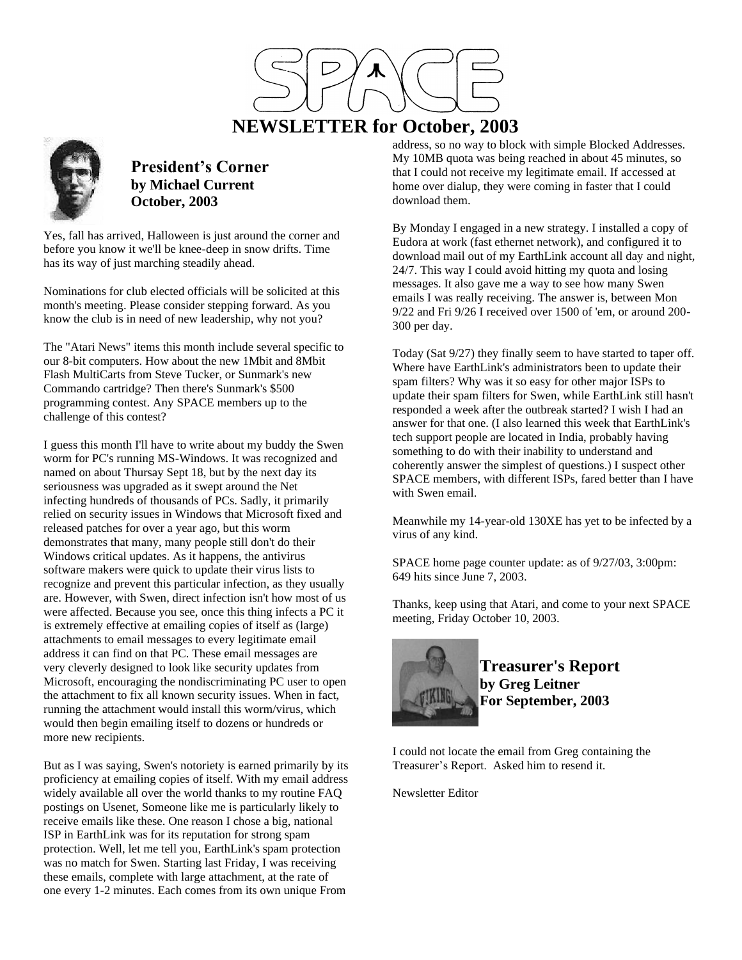

# **NEWSLETTER for October, 2003**



**President's Corner by Michael Current October, 2003**

Yes, fall has arrived, Halloween is just around the corner and before you know it we'll be knee-deep in snow drifts. Time has its way of just marching steadily ahead.

Nominations for club elected officials will be solicited at this month's meeting. Please consider stepping forward. As you know the club is in need of new leadership, why not you?

The "Atari News" items this month include several specific to our 8-bit computers. How about the new 1Mbit and 8Mbit Flash MultiCarts from Steve Tucker, or Sunmark's new Commando cartridge? Then there's Sunmark's \$500 programming contest. Any SPACE members up to the challenge of this contest?

I guess this month I'll have to write about my buddy the Swen worm for PC's running MS-Windows. It was recognized and named on about Thursay Sept 18, but by the next day its seriousness was upgraded as it swept around the Net infecting hundreds of thousands of PCs. Sadly, it primarily relied on security issues in Windows that Microsoft fixed and released patches for over a year ago, but this worm demonstrates that many, many people still don't do their Windows critical updates. As it happens, the antivirus software makers were quick to update their virus lists to recognize and prevent this particular infection, as they usually are. However, with Swen, direct infection isn't how most of us were affected. Because you see, once this thing infects a PC it is extremely effective at emailing copies of itself as (large) attachments to email messages to every legitimate email address it can find on that PC. These email messages are very cleverly designed to look like security updates from Microsoft, encouraging the nondiscriminating PC user to open the attachment to fix all known security issues. When in fact, running the attachment would install this worm/virus, which would then begin emailing itself to dozens or hundreds or more new recipients.

But as I was saying, Swen's notoriety is earned primarily by its proficiency at emailing copies of itself. With my email address widely available all over the world thanks to my routine FAQ postings on Usenet, Someone like me is particularly likely to receive emails like these. One reason I chose a big, national ISP in EarthLink was for its reputation for strong spam protection. Well, let me tell you, EarthLink's spam protection was no match for Swen. Starting last Friday, I was receiving these emails, complete with large attachment, at the rate of one every 1-2 minutes. Each comes from its own unique From

address, so no way to block with simple Blocked Addresses. My 10MB quota was being reached in about 45 minutes, so that I could not receive my legitimate email. If accessed at home over dialup, they were coming in faster that I could download them.

By Monday I engaged in a new strategy. I installed a copy of Eudora at work (fast ethernet network), and configured it to download mail out of my EarthLink account all day and night, 24/7. This way I could avoid hitting my quota and losing messages. It also gave me a way to see how many Swen emails I was really receiving. The answer is, between Mon 9/22 and Fri 9/26 I received over 1500 of 'em, or around 200- 300 per day.

Today (Sat 9/27) they finally seem to have started to taper off. Where have EarthLink's administrators been to update their spam filters? Why was it so easy for other major ISPs to update their spam filters for Swen, while EarthLink still hasn't responded a week after the outbreak started? I wish I had an answer for that one. (I also learned this week that EarthLink's tech support people are located in India, probably having something to do with their inability to understand and coherently answer the simplest of questions.) I suspect other SPACE members, with different ISPs, fared better than I have with Swen email.

Meanwhile my 14-year-old 130XE has yet to be infected by a virus of any kind.

SPACE home page counter update: as of 9/27/03, 3:00pm: 649 hits since June 7, 2003.

Thanks, keep using that Atari, and come to your next SPACE meeting, Friday October 10, 2003.



**Treasurer's Report by Greg Leitner For September, 2003**

I could not locate the email from Greg containing the Treasurer's Report. Asked him to resend it.

Newsletter Editor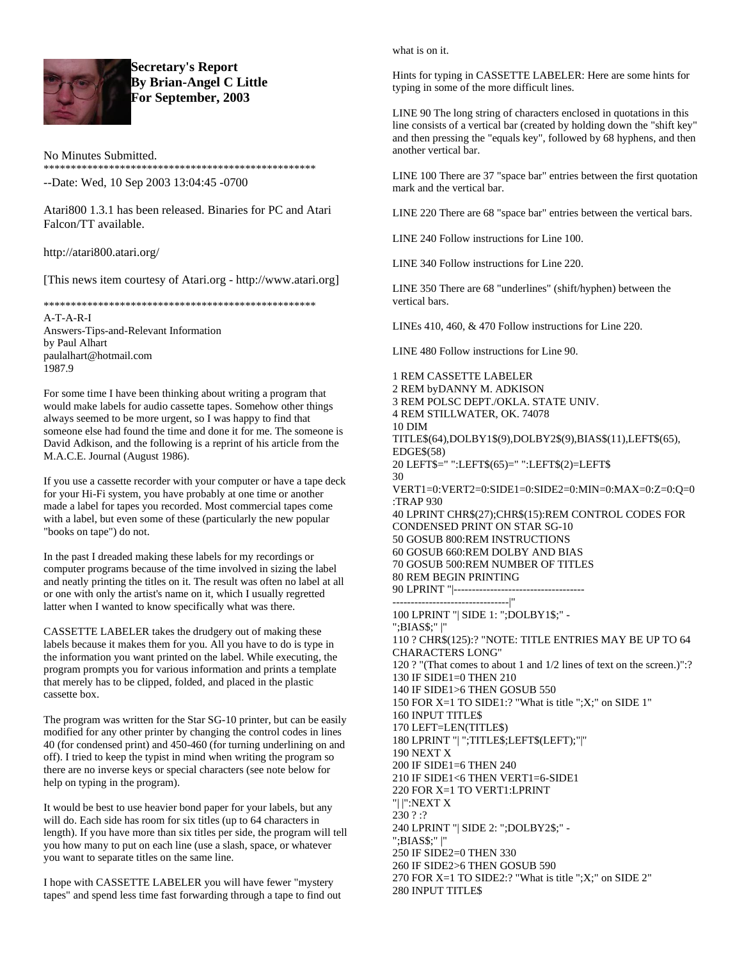

**Secretary's Report By Brian-Angel C Little For September, 2003**

No Minutes Submitted.

\*\*\*\*\*\*\*\*\*\*\*\*\*\*\*\*\*\*\*\*\*\*\*\*\*\*\*\*\*\*\*\*\*\*\*\*\*\*\*\*\*\*\*\*\*\*\*\*\*\*

--Date: Wed, 10 Sep 2003 13:04:45 -0700

Atari800 1.3.1 has been released. Binaries for PC and Atari Falcon/TT available.

http://atari800.atari.org/

[This news item courtesy of Atari.org - http://www.atari.org]

\*\*\*\*\*\*\*\*\*\*\*\*\*\*\*\*\*\*\*\*\*\*\*\*\*\*\*\*\*\*\*\*\*\*\*\*\*\*\*\*\*\*\*\*\*\*\*\*\*\*

A-T-A-R-I Answers-Tips-and-Relevant Information by Paul Alhart paulalhart@hotmail.com 1987.9

For some time I have been thinking about writing a program that would make labels for audio cassette tapes. Somehow other things always seemed to be more urgent, so I was happy to find that someone else had found the time and done it for me. The someone is David Adkison, and the following is a reprint of his article from the M.A.C.E. Journal (August 1986).

If you use a cassette recorder with your computer or have a tape deck for your Hi-Fi system, you have probably at one time or another made a label for tapes you recorded. Most commercial tapes come with a label, but even some of these (particularly the new popular "books on tape") do not.

In the past I dreaded making these labels for my recordings or computer programs because of the time involved in sizing the label and neatly printing the titles on it. The result was often no label at all or one with only the artist's name on it, which I usually regretted latter when I wanted to know specifically what was there.

CASSETTE LABELER takes the drudgery out of making these labels because it makes them for you. All you have to do is type in the information you want printed on the label. While executing, the program prompts you for various information and prints a template that merely has to be clipped, folded, and placed in the plastic cassette box.

The program was written for the Star SG-10 printer, but can be easily modified for any other printer by changing the control codes in lines 40 (for condensed print) and 450-460 (for turning underlining on and off). I tried to keep the typist in mind when writing the program so there are no inverse keys or special characters (see note below for help on typing in the program).

It would be best to use heavier bond paper for your labels, but any will do. Each side has room for six titles (up to 64 characters in length). If you have more than six titles per side, the program will tell you how many to put on each line (use a slash, space, or whatever you want to separate titles on the same line.

I hope with CASSETTE LABELER you will have fewer "mystery tapes" and spend less time fast forwarding through a tape to find out what is on it.

Hints for typing in CASSETTE LABELER: Here are some hints for typing in some of the more difficult lines.

LINE 90 The long string of characters enclosed in quotations in this line consists of a vertical bar (created by holding down the "shift key" and then pressing the "equals key", followed by 68 hyphens, and then another vertical bar.

LINE 100 There are 37 "space bar" entries between the first quotation mark and the vertical bar.

LINE 220 There are 68 "space bar" entries between the vertical bars.

LINE 240 Follow instructions for Line 100.

LINE 340 Follow instructions for Line 220.

LINE 350 There are 68 "underlines" (shift/hyphen) between the vertical bars.

LINEs 410, 460, & 470 Follow instructions for Line 220.

LINE 480 Follow instructions for Line 90.

1 REM CASSETTE LABELER 2 REM byDANNY M. ADKISON 3 REM POLSC DEPT./OKLA. STATE UNIV. 4 REM STILLWATER, OK. 74078 10 DIM TITLE\$(64),DOLBY1\$(9),DOLBY2\$(9),BIAS\$(11),LEFT\$(65), EDGE\$(58) 20 LEFT\$=" ":LEFT\$(65)=" ":LEFT\$(2)=LEFT\$ 30 VERT1=0:VERT2=0:SIDE1=0:SIDE2=0:MIN=0:MAX=0:Z=0:Q=0 :TRAP 930 40 LPRINT CHR\$(27);CHR\$(15):REM CONTROL CODES FOR CONDENSED PRINT ON STAR SG-10 50 GOSUB 800:REM INSTRUCTIONS 60 GOSUB 660:REM DOLBY AND BIAS 70 GOSUB 500:REM NUMBER OF TITLES 80 REM BEGIN PRINTING 90 LPRINT "|------------------------------------ --------------------------------|" 100 LPRINT "| SIDE 1: ";DOLBY1\$;" - ";BIAS\$;" |" 110 ? CHR\$(125):? "NOTE: TITLE ENTRIES MAY BE UP TO 64 CHARACTERS LONG" 120 ? "(That comes to about 1 and 1/2 lines of text on the screen.)":? 130 IF SIDE1=0 THEN 210 140 IF SIDE1>6 THEN GOSUB 550 150 FOR X=1 TO SIDE1:? "What is title ";X;" on SIDE 1" 160 INPUT TITLE\$ 170 LEFT=LEN(TITLE\$) 180 LPRINT "| ";TITLE\$;LEFT\$(LEFT);"|" 190 NEXT X 200 IF SIDE1=6 THEN 240 210 IF SIDE1<6 THEN VERT1=6-SIDE1 220 FOR X=1 TO VERT1:LPRINT "| |":NEXT X 230 ? :? 240 LPRINT "| SIDE 2: ";DOLBY2\$;" - ";BIAS\$;" |" 250 IF SIDE2=0 THEN 330 260 IF SIDE2>6 THEN GOSUB 590 270 FOR X=1 TO SIDE2:? "What is title ";X;" on SIDE 2" 280 INPUT TITLE\$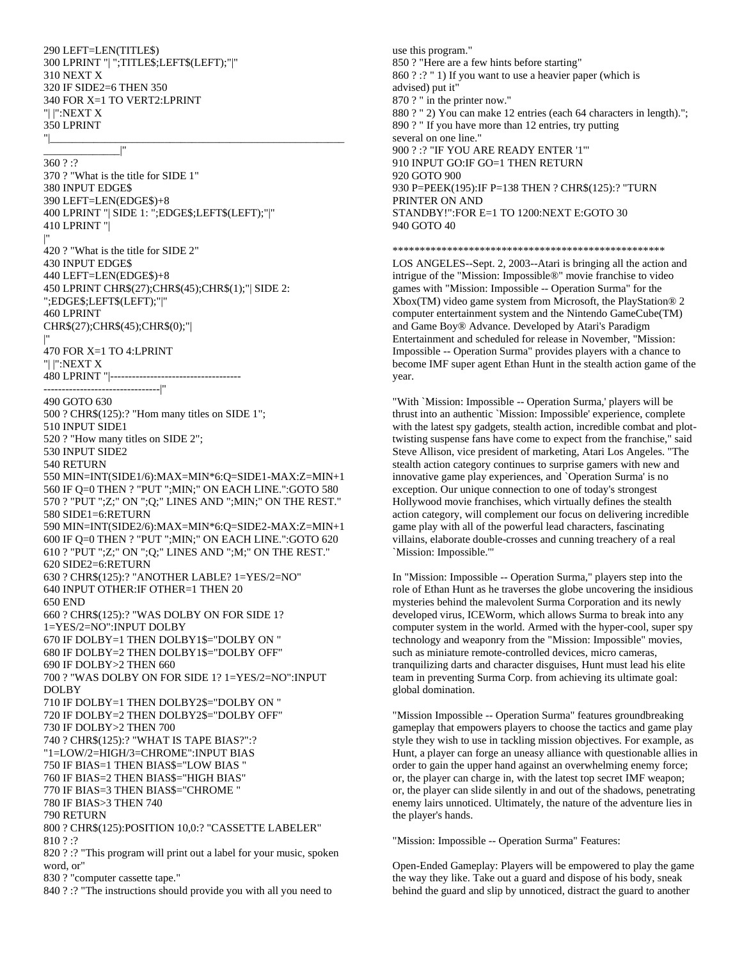290 LEFT=LEN(TITLE\$) 300 LPRINT "| ";TITLE\$;LEFT\$(LEFT);"|" 310 NEXT X 320 IF SIDE2=6 THEN 350 340 FOR X=1 TO VERT2:LPRINT "| |":NEXT X 350 LPRINT "|\_\_\_\_\_\_\_\_\_\_\_\_\_\_\_\_\_\_\_\_\_\_\_\_\_\_\_\_\_\_\_\_\_\_\_\_\_\_\_\_\_\_\_\_\_\_\_\_\_\_\_\_\_\_

\_\_\_\_\_\_\_\_\_\_\_\_\_\_|"

360 ? :? 370 ? "What is the title for SIDE 1" 380 INPUT EDGE\$ 390 LEFT=LEN(EDGE\$)+8 400 LPRINT "| SIDE 1: ";EDGE\$;LEFT\$(LEFT);"|" 410 LPRINT "| |" 420 ? "What is the title for SIDE 2" 430 INPUT EDGE\$ 440 LEFT=LEN(EDGE\$)+8 450 LPRINT CHR\$(27);CHR\$(45);CHR\$(1);"| SIDE 2: ";EDGE\$;LEFT\$(LEFT);"|" 460 LPRINT CHR\$(27);CHR\$(45);CHR\$(0);"| |" 470 FOR X=1 TO 4:LPRINT "| |":NEXT X 480 LPRINT "|------------------------------------ --------------------------------|" 490 GOTO 630 500 ? CHR\$(125):? "Hom many titles on SIDE 1"; 510 INPUT SIDE1 520 ? "How many titles on SIDE 2"; 530 INPUT SIDE2 540 RETURN 550 MIN=INT(SIDE1/6):MAX=MIN\*6:Q=SIDE1-MAX:Z=MIN+1 560 IF Q=0 THEN ? "PUT ";MIN;" ON EACH LINE.":GOTO 580 570 ? "PUT ";Z;" ON ";Q;" LINES AND ";MIN;" ON THE REST." 580 SIDE1=6:RETURN 590 MIN=INT(SIDE2/6):MAX=MIN\*6:Q=SIDE2-MAX:Z=MIN+1 600 IF Q=0 THEN ? "PUT ";MIN;" ON EACH LINE.":GOTO 620 610 ? "PUT ";Z;" ON ";Q;" LINES AND ";M;" ON THE REST." 620 SIDE2=6:RETURN 630 ? CHR\$(125):? "ANOTHER LABLE? 1=YES/2=NO" 640 INPUT OTHER:IF OTHER=1 THEN 20 650 END 660 ? CHR\$(125):? "WAS DOLBY ON FOR SIDE 1? 1=YES/2=NO":INPUT DOLBY 670 IF DOLBY=1 THEN DOLBY1\$="DOLBY ON " 680 IF DOLBY=2 THEN DOLBY1\$="DOLBY OFF" 690 IF DOLBY>2 THEN 660 700 ? "WAS DOLBY ON FOR SIDE 1? 1=YES/2=NO":INPUT DOLBY 710 IF DOLBY=1 THEN DOLBY2\$="DOLBY ON " 720 IF DOLBY=2 THEN DOLBY2\$="DOLBY OFF" 730 IF DOLBY>2 THEN 700 740 ? CHR\$(125):? "WHAT IS TAPE BIAS?":? "1=LOW/2=HIGH/3=CHROME":INPUT BIAS 750 IF BIAS=1 THEN BIAS\$="LOW BIAS " 760 IF BIAS=2 THEN BIAS\$="HIGH BIAS" 770 IF BIAS=3 THEN BIAS\$="CHROME " 780 IF BIAS>3 THEN 740 790 RETURN 800 ? CHR\$(125):POSITION 10,0:? "CASSETTE LABELER" 810 ? :? 820 ? :? "This program will print out a label for your music, spoken word, or" 830 ? "computer cassette tape."

840 ? :? "The instructions should provide you with all you need to

use this program." 850 ? "Here are a few hints before starting" 860 ? :? " 1) If you want to use a heavier paper (which is advised) put it" 870 ? " in the printer now." 880 ? " 2) You can make 12 entries (each 64 characters in length)."; 890 ? " If you have more than 12 entries, try putting several on one line." 900 ? :? "IF YOU ARE READY ENTER '1'" 910 INPUT GO:IF GO=1 THEN RETURN 920 GOTO 900 930 P=PEEK(195):IF P=138 THEN ? CHR\$(125):? "TURN PRINTER ON AND STANDBY!":FOR E=1 TO 1200:NEXT E:GOTO 30 940 GOTO 40

\*\*\*\*\*\*\*\*\*\*\*\*\*\*\*\*\*\*\*\*\*\*\*\*\*\*\*\*\*\*\*\*\*\*\*\*\*\*\*\*\*\*\*\*\*\*\*\*\*\*

LOS ANGELES--Sept. 2, 2003--Atari is bringing all the action and intrigue of the "Mission: Impossible®" movie franchise to video games with "Mission: Impossible -- Operation Surma" for the Xbox(TM) video game system from Microsoft, the PlayStation® 2 computer entertainment system and the Nintendo GameCube(TM) and Game Boy® Advance. Developed by Atari's Paradigm Entertainment and scheduled for release in November, "Mission: Impossible -- Operation Surma" provides players with a chance to become IMF super agent Ethan Hunt in the stealth action game of the year.

"With `Mission: Impossible -- Operation Surma,' players will be thrust into an authentic `Mission: Impossible' experience, complete with the latest spy gadgets, stealth action, incredible combat and plottwisting suspense fans have come to expect from the franchise," said Steve Allison, vice president of marketing, Atari Los Angeles. "The stealth action category continues to surprise gamers with new and innovative game play experiences, and `Operation Surma' is no exception. Our unique connection to one of today's strongest Hollywood movie franchises, which virtually defines the stealth action category, will complement our focus on delivering incredible game play with all of the powerful lead characters, fascinating villains, elaborate double-crosses and cunning treachery of a real `Mission: Impossible.'"

In "Mission: Impossible -- Operation Surma," players step into the role of Ethan Hunt as he traverses the globe uncovering the insidious mysteries behind the malevolent Surma Corporation and its newly developed virus, ICEWorm, which allows Surma to break into any computer system in the world. Armed with the hyper-cool, super spy technology and weaponry from the "Mission: Impossible" movies, such as miniature remote-controlled devices, micro cameras, tranquilizing darts and character disguises, Hunt must lead his elite team in preventing Surma Corp. from achieving its ultimate goal: global domination.

"Mission Impossible -- Operation Surma" features groundbreaking gameplay that empowers players to choose the tactics and game play style they wish to use in tackling mission objectives. For example, as Hunt, a player can forge an uneasy alliance with questionable allies in order to gain the upper hand against an overwhelming enemy force; or, the player can charge in, with the latest top secret IMF weapon; or, the player can slide silently in and out of the shadows, penetrating enemy lairs unnoticed. Ultimately, the nature of the adventure lies in the player's hands.

"Mission: Impossible -- Operation Surma" Features:

Open-Ended Gameplay: Players will be empowered to play the game the way they like. Take out a guard and dispose of his body, sneak behind the guard and slip by unnoticed, distract the guard to another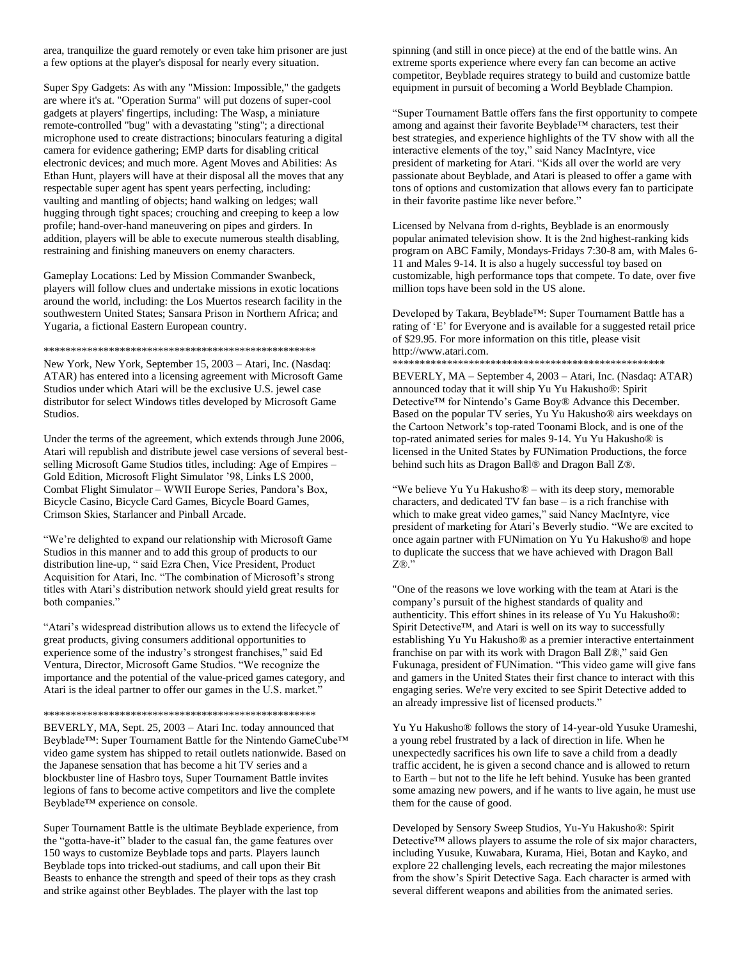area, tranquilize the guard remotely or even take him prisoner are just a few options at the player's disposal for nearly every situation.

Super Spy Gadgets: As with any "Mission: Impossible," the gadgets are where it's at. "Operation Surma" will put dozens of super-cool gadgets at players' fingertips, including: The Wasp, a miniature remote-controlled "bug" with a devastating "sting"; a directional microphone used to create distractions; binoculars featuring a digital camera for evidence gathering; EMP darts for disabling critical electronic devices; and much more. Agent Moves and Abilities: As Ethan Hunt, players will have at their disposal all the moves that any respectable super agent has spent years perfecting, including: vaulting and mantling of objects; hand walking on ledges; wall hugging through tight spaces; crouching and creeping to keep a low profile; hand-over-hand maneuvering on pipes and girders. In addition, players will be able to execute numerous stealth disabling, restraining and finishing maneuvers on enemy characters.

Gameplay Locations: Led by Mission Commander Swanbeck, players will follow clues and undertake missions in exotic locations around the world, including: the Los Muertos research facility in the southwestern United States; Sansara Prison in Northern Africa; and Yugaria, a fictional Eastern European country.

#### \*\*\*\*\*\*\*\*\*\*\*\*\*\*\*\*\*\*\*\*\*\*\*\*\*\*\*\*\*\*\*\*\*\*\*\*\*\*\*\*\*\*\*\*\*\*\*\*\*\*

New York, New York, September 15, 2003 – Atari, Inc. (Nasdaq: ATAR) has entered into a licensing agreement with Microsoft Game Studios under which Atari will be the exclusive U.S. jewel case distributor for select Windows titles developed by Microsoft Game Studios.

Under the terms of the agreement, which extends through June 2006, Atari will republish and distribute jewel case versions of several bestselling Microsoft Game Studios titles, including: Age of Empires – Gold Edition, Microsoft Flight Simulator '98, Links LS 2000, Combat Flight Simulator – WWII Europe Series, Pandora's Box, Bicycle Casino, Bicycle Card Games, Bicycle Board Games, Crimson Skies, Starlancer and Pinball Arcade.

"We're delighted to expand our relationship with Microsoft Game Studios in this manner and to add this group of products to our distribution line-up, " said Ezra Chen, Vice President, Product Acquisition for Atari, Inc. "The combination of Microsoft's strong titles with Atari's distribution network should yield great results for both companies."

"Atari's widespread distribution allows us to extend the lifecycle of great products, giving consumers additional opportunities to experience some of the industry's strongest franchises," said Ed Ventura, Director, Microsoft Game Studios. "We recognize the importance and the potential of the value-priced games category, and Atari is the ideal partner to offer our games in the U.S. market."

#### \*\*\*\*\*\*\*\*\*\*\*\*\*\*\*\*\*\*\*\*\*\*\*\*\*\*\*\*\*\*\*\*\*\*\*\*\*\*\*\*\*\*\*\*\*\*\*\*\*\*

BEVERLY, MA, Sept. 25, 2003 – Atari Inc. today announced that Beyblade™: Super Tournament Battle for the Nintendo GameCube™ video game system has shipped to retail outlets nationwide. Based on the Japanese sensation that has become a hit TV series and a blockbuster line of Hasbro toys, Super Tournament Battle invites legions of fans to become active competitors and live the complete Beyblade™ experience on console.

Super Tournament Battle is the ultimate Beyblade experience, from the "gotta-have-it" blader to the casual fan, the game features over 150 ways to customize Beyblade tops and parts. Players launch Beyblade tops into tricked-out stadiums, and call upon their Bit Beasts to enhance the strength and speed of their tops as they crash and strike against other Beyblades. The player with the last top

spinning (and still in once piece) at the end of the battle wins. An extreme sports experience where every fan can become an active competitor, Beyblade requires strategy to build and customize battle equipment in pursuit of becoming a World Beyblade Champion.

"Super Tournament Battle offers fans the first opportunity to compete among and against their favorite Beyblade™ characters, test their best strategies, and experience highlights of the TV show with all the interactive elements of the toy," said Nancy MacIntyre, vice president of marketing for Atari. "Kids all over the world are very passionate about Beyblade, and Atari is pleased to offer a game with tons of options and customization that allows every fan to participate in their favorite pastime like never before."

Licensed by Nelvana from d-rights, Beyblade is an enormously popular animated television show. It is the 2nd highest-ranking kids program on ABC Family, Mondays-Fridays 7:30-8 am, with Males 6- 11 and Males 9-14. It is also a hugely successful toy based on customizable, high performance tops that compete. To date, over five million tops have been sold in the US alone.

Developed by Takara, Beyblade™: Super Tournament Battle has a rating of 'E' for Everyone and is available for a suggested retail price of \$29.95. For more information on this title, please visit http://www.atari.com. \*\*\*\*\*\*\*\*\*\*\*\*\*\*\*\*\*\*\*\*\*\*\*\*\*\*\*\*\*\*\*\*\*\*\*\*\*\*\*\*\*\*\*\*\*\*\*\*\*\*

BEVERLY, MA – September 4, 2003 – Atari, Inc. (Nasdaq: ATAR) announced today that it will ship Yu Yu Hakusho®: Spirit Detective™ for Nintendo's Game Boy® Advance this December. Based on the popular TV series, Yu Yu Hakusho® airs weekdays on the Cartoon Network's top-rated Toonami Block, and is one of the top-rated animated series for males 9-14. Yu Yu Hakusho® is licensed in the United States by FUNimation Productions, the force behind such hits as Dragon Ball® and Dragon Ball Z®.

"We believe Yu Yu Hakusho® – with its deep story, memorable characters, and dedicated TV fan base – is a rich franchise with which to make great video games," said Nancy MacIntyre, vice president of marketing for Atari's Beverly studio. "We are excited to once again partner with FUNimation on Yu Yu Hakusho® and hope to duplicate the success that we have achieved with Dragon Ball  $Z\circledR$ ."

"One of the reasons we love working with the team at Atari is the company's pursuit of the highest standards of quality and authenticity. This effort shines in its release of Yu Yu Hakusho®: Spirit Detective™, and Atari is well on its way to successfully establishing Yu Yu Hakusho® as a premier interactive entertainment franchise on par with its work with Dragon Ball Z®," said Gen Fukunaga, president of FUNimation. "This video game will give fans and gamers in the United States their first chance to interact with this engaging series. We're very excited to see Spirit Detective added to an already impressive list of licensed products."

Yu Yu Hakusho® follows the story of 14-year-old Yusuke Urameshi, a young rebel frustrated by a lack of direction in life. When he unexpectedly sacrifices his own life to save a child from a deadly traffic accident, he is given a second chance and is allowed to return to Earth – but not to the life he left behind. Yusuke has been granted some amazing new powers, and if he wants to live again, he must use them for the cause of good.

Developed by Sensory Sweep Studios, Yu-Yu Hakusho®: Spirit Detective™ allows players to assume the role of six major characters, including Yusuke, Kuwabara, Kurama, Hiei, Botan and Kayko, and explore 22 challenging levels, each recreating the major milestones from the show's Spirit Detective Saga. Each character is armed with several different weapons and abilities from the animated series.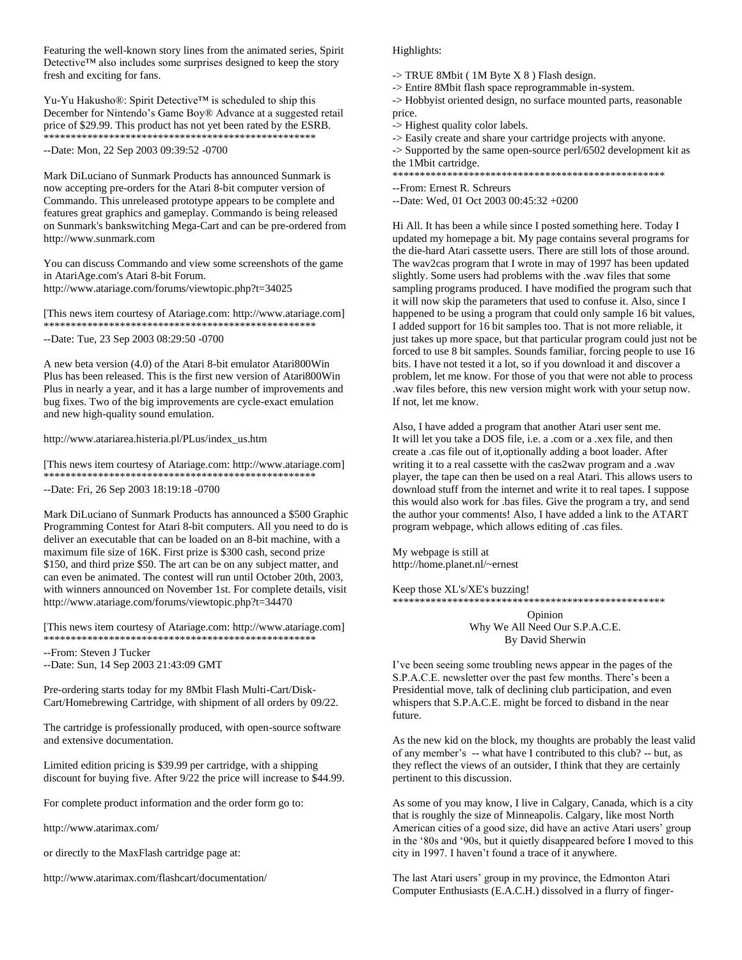Featuring the well-known story lines from the animated series, Spirit Detective™ also includes some surprises designed to keep the story fresh and exciting for fans.

Yu-Yu Hakusho®: Spirit Detective™ is scheduled to ship this December for Nintendo's Game Boy® Advance at a suggested retail price of \$29.99. This product has not yet been rated by the ESRB. \*\*\*\*\*\*\*\*\*\*\*\*\*\*\*\*\*\*\*\*\*\*\*\*\*\*\*\*\*\*\*\*\*\*\*\*\*\*\*\*\*\*\*\*\*\*\*\*\*\*

--Date: Mon, 22 Sep 2003 09:39:52 -0700

Mark DiLuciano of Sunmark Products has announced Sunmark is now accepting pre-orders for the Atari 8-bit computer version of Commando. This unreleased prototype appears to be complete and features great graphics and gameplay. Commando is being released on Sunmark's bankswitching Mega-Cart and can be pre-ordered from http://www.sunmark.com

You can discuss Commando and view some screenshots of the game in AtariAge.com's Atari 8-bit Forum. http://www.atariage.com/forums/viewtopic.php?t=34025

[This news item courtesy of Atariage.com: http://www.atariage.com] \*\*\*\*\*\*\*\*\*\*\*\*\*\*\*\*\*\*\*\*\*\*\*\*\*\*\*\*\*\*\*\*\*\*\*\*\*\*\*\*\*\*\*\*\*\*\*\*\*\*

--Date: Tue, 23 Sep 2003 08:29:50 -0700

A new beta version (4.0) of the Atari 8-bit emulator Atari800Win Plus has been released. This is the first new version of Atari800Win Plus in nearly a year, and it has a large number of improvements and bug fixes. Two of the big improvements are cycle-exact emulation and new high-quality sound emulation.

http://www.atariarea.histeria.pl/PLus/index\_us.htm

[This news item courtesy of Atariage.com: http://www.atariage.com] \*\*\*\*\*\*\*\*\*\*\*\*\*\*\*\*\*\*\*\*\*\*\*\*\*\*\*\*\*\*\*\*\*\*\*\*\*\*\*\*\*\*\*\*\*\*\*\*\*\*

--Date: Fri, 26 Sep 2003 18:19:18 -0700

Mark DiLuciano of Sunmark Products has announced a \$500 Graphic Programming Contest for Atari 8-bit computers. All you need to do is deliver an executable that can be loaded on an 8-bit machine, with a maximum file size of 16K. First prize is \$300 cash, second prize \$150, and third prize \$50. The art can be on any subject matter, and can even be animated. The contest will run until October 20th, 2003, with winners announced on November 1st. For complete details, visit http://www.atariage.com/forums/viewtopic.php?t=34470

[This news item courtesy of Atariage.com: http://www.atariage.com] \*\*\*\*\*\*\*\*\*\*\*\*\*\*\*\*\*\*\*\*\*\*\*\*\*\*\*\*\*\*\*\*\*\*\*\*\*\*\*\*\*\*\*\*\*\*\*\*\*\*

--From: Steven J Tucker

--Date: Sun, 14 Sep 2003 21:43:09 GMT

Pre-ordering starts today for my 8Mbit Flash Multi-Cart/Disk-Cart/Homebrewing Cartridge, with shipment of all orders by 09/22.

The cartridge is professionally produced, with open-source software and extensive documentation.

Limited edition pricing is \$39.99 per cartridge, with a shipping discount for buying five. After 9/22 the price will increase to \$44.99.

For complete product information and the order form go to:

http://www.atarimax.com/

or directly to the MaxFlash cartridge page at:

http://www.atarimax.com/flashcart/documentation/

## Highlights:

 $\rightarrow$  TRUE 8Mbit (1M Byte X 8) Flash design.

-> Entire 8Mbit flash space reprogrammable in-system.

-> Hobbyist oriented design, no surface mounted parts, reasonable price.

-> Highest quality color labels.

-> Easily create and share your cartridge projects with anyone.

-> Supported by the same open-source perl/6502 development kit as the 1Mbit cartridge.<br>\*\*\*\*\*\*\*\*\*\*\*\*\*\*\*\*\*\*\*\*

\*\*\*\*\*\*\*\*\*\*\*\*\*\*\*\*\*\*\*\*\*\*\*\*\*\*\*\*\*\*\*\*\*\*\*\*\*\*\*\*\*\*\*\*\*\*\*\*\*\*

--From: Ernest R. Schreurs

--Date: Wed, 01 Oct 2003 00:45:32 +0200

Hi All. It has been a while since I posted something here. Today I updated my homepage a bit. My page contains several programs for the die-hard Atari cassette users. There are still lots of those around. The wav2cas program that I wrote in may of 1997 has been updated slightly. Some users had problems with the .wav files that some sampling programs produced. I have modified the program such that it will now skip the parameters that used to confuse it. Also, since I happened to be using a program that could only sample 16 bit values, I added support for 16 bit samples too. That is not more reliable, it just takes up more space, but that particular program could just not be forced to use 8 bit samples. Sounds familiar, forcing people to use 16 bits. I have not tested it a lot, so if you download it and discover a problem, let me know. For those of you that were not able to process .wav files before, this new version might work with your setup now. If not, let me know.

Also, I have added a program that another Atari user sent me. It will let you take a DOS file, i.e. a .com or a .xex file, and then create a .cas file out of it,optionally adding a boot loader. After writing it to a real cassette with the cas2wav program and a .wav player, the tape can then be used on a real Atari. This allows users to download stuff from the internet and write it to real tapes. I suppose this would also work for .bas files. Give the program a try, and send the author your comments! Also, I have added a link to the ATART program webpage, which allows editing of .cas files.

My webpage is still at http://home.planet.nl/~ernest

Keep those XL's/XE's buzzing!

\*\*\*\*\*\*\*\*\*\*\*\*\*\*\*\*\*\*\*\*\*\*\*\*\*\*\*\*\*\*\*\*\*\*\*\*\*\*\*\*\*\*\*\*\*\*\*\*\*\* Opinion Why We All Need Our S.P.A.C.E.

By David Sherwin

I've been seeing some troubling news appear in the pages of the S.P.A.C.E. newsletter over the past few months. There's been a Presidential move, talk of declining club participation, and even whispers that S.P.A.C.E. might be forced to disband in the near future.

As the new kid on the block, my thoughts are probably the least valid of any member's -- what have I contributed to this club? -- but, as they reflect the views of an outsider, I think that they are certainly pertinent to this discussion.

As some of you may know, I live in Calgary, Canada, which is a city that is roughly the size of Minneapolis. Calgary, like most North American cities of a good size, did have an active Atari users' group in the '80s and '90s, but it quietly disappeared before I moved to this city in 1997. I haven't found a trace of it anywhere.

The last Atari users' group in my province, the Edmonton Atari Computer Enthusiasts (E.A.C.H.) dissolved in a flurry of finger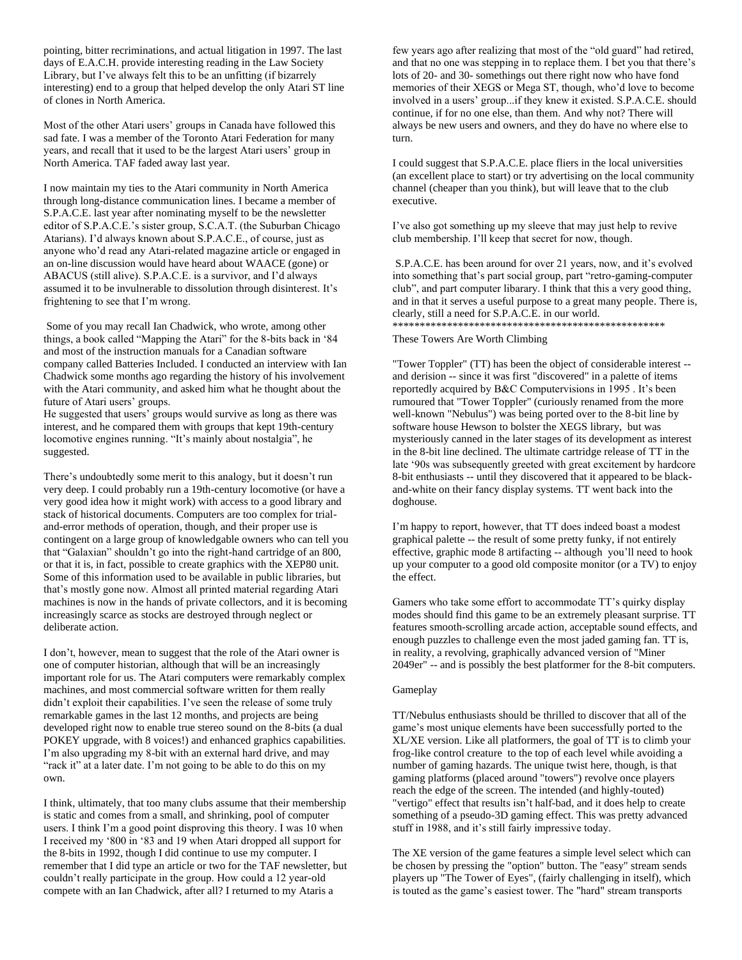pointing, bitter recriminations, and actual litigation in 1997. The last days of E.A.C.H. provide interesting reading in the Law Society Library, but I've always felt this to be an unfitting (if bizarrely interesting) end to a group that helped develop the only Atari ST line of clones in North America.

Most of the other Atari users' groups in Canada have followed this sad fate. I was a member of the Toronto Atari Federation for many years, and recall that it used to be the largest Atari users' group in North America. TAF faded away last year.

I now maintain my ties to the Atari community in North America through long-distance communication lines. I became a member of S.P.A.C.E. last year after nominating myself to be the newsletter editor of S.P.A.C.E.'s sister group, S.C.A.T. (the Suburban Chicago Atarians). I'd always known about S.P.A.C.E., of course, just as anyone who'd read any Atari-related magazine article or engaged in an on-line discussion would have heard about WAACE (gone) or ABACUS (still alive). S.P.A.C.E. is a survivor, and I'd always assumed it to be invulnerable to dissolution through disinterest. It's frightening to see that I'm wrong.

Some of you may recall Ian Chadwick, who wrote, among other things, a book called "Mapping the Atari" for the 8-bits back in '84 and most of the instruction manuals for a Canadian software company called Batteries Included. I conducted an interview with Ian Chadwick some months ago regarding the history of his involvement with the Atari community, and asked him what he thought about the future of Atari users' groups.

He suggested that users' groups would survive as long as there was interest, and he compared them with groups that kept 19th-century locomotive engines running. "It's mainly about nostalgia", he suggested.

There's undoubtedly some merit to this analogy, but it doesn't run very deep. I could probably run a 19th-century locomotive (or have a very good idea how it might work) with access to a good library and stack of historical documents. Computers are too complex for trialand-error methods of operation, though, and their proper use is contingent on a large group of knowledgable owners who can tell you that "Galaxian" shouldn't go into the right-hand cartridge of an 800, or that it is, in fact, possible to create graphics with the XEP80 unit. Some of this information used to be available in public libraries, but that's mostly gone now. Almost all printed material regarding Atari machines is now in the hands of private collectors, and it is becoming increasingly scarce as stocks are destroyed through neglect or deliberate action.

I don't, however, mean to suggest that the role of the Atari owner is one of computer historian, although that will be an increasingly important role for us. The Atari computers were remarkably complex machines, and most commercial software written for them really didn't exploit their capabilities. I've seen the release of some truly remarkable games in the last 12 months, and projects are being developed right now to enable true stereo sound on the 8-bits (a dual POKEY upgrade, with 8 voices!) and enhanced graphics capabilities. I'm also upgrading my 8-bit with an external hard drive, and may "rack it" at a later date. I'm not going to be able to do this on my own.

I think, ultimately, that too many clubs assume that their membership is static and comes from a small, and shrinking, pool of computer users. I think I'm a good point disproving this theory. I was 10 when I received my '800 in '83 and 19 when Atari dropped all support for the 8-bits in 1992, though I did continue to use my computer. I remember that I did type an article or two for the TAF newsletter, but couldn't really participate in the group. How could a 12 year-old compete with an Ian Chadwick, after all? I returned to my Ataris a

few years ago after realizing that most of the "old guard" had retired, and that no one was stepping in to replace them. I bet you that there's lots of 20- and 30- somethings out there right now who have fond memories of their XEGS or Mega ST, though, who'd love to become involved in a users' group...if they knew it existed. S.P.A.C.E. should continue, if for no one else, than them. And why not? There will always be new users and owners, and they do have no where else to turn.

I could suggest that S.P.A.C.E. place fliers in the local universities (an excellent place to start) or try advertising on the local community channel (cheaper than you think), but will leave that to the club executive.

I've also got something up my sleeve that may just help to revive club membership. I'll keep that secret for now, though.

S.P.A.C.E. has been around for over 21 years, now, and it's evolved into something that's part social group, part "retro-gaming-computer club", and part computer libarary. I think that this a very good thing, and in that it serves a useful purpose to a great many people. There is, clearly, still a need for S.P.A.C.E. in our world. \*\*\*\*\*\*\*\*\*\*\*\*\*\*\*\*\*\*\*\*\*\*\*\*\*\*\*\*\*\*\*\*\*\*\*\*\*\*\*\*\*\*\*\*\*\*\*\*\*\*

These Towers Are Worth Climbing

"Tower Toppler" (TT) has been the object of considerable interest - and derision -- since it was first "discovered" in a palette of items reportedly acquired by B&C Computervisions in 1995 . It's been rumoured that "Tower Toppler" (curiously renamed from the more well-known "Nebulus") was being ported over to the 8-bit line by software house Hewson to bolster the XEGS library, but was mysteriously canned in the later stages of its development as interest in the 8-bit line declined. The ultimate cartridge release of TT in the late '90s was subsequently greeted with great excitement by hardcore 8-bit enthusiasts -- until they discovered that it appeared to be blackand-white on their fancy display systems. TT went back into the doghouse.

I'm happy to report, however, that TT does indeed boast a modest graphical palette -- the result of some pretty funky, if not entirely effective, graphic mode 8 artifacting -- although you'll need to hook up your computer to a good old composite monitor (or a TV) to enjoy the effect.

Gamers who take some effort to accommodate TT's quirky display modes should find this game to be an extremely pleasant surprise. TT features smooth-scrolling arcade action, acceptable sound effects, and enough puzzles to challenge even the most jaded gaming fan. TT is, in reality, a revolving, graphically advanced version of "Miner 2049er" -- and is possibly the best platformer for the 8-bit computers.

# Gameplay

TT/Nebulus enthusiasts should be thrilled to discover that all of the game's most unique elements have been successfully ported to the XL/XE version. Like all platformers, the goal of TT is to climb your frog-like control creature to the top of each level while avoiding a number of gaming hazards. The unique twist here, though, is that gaming platforms (placed around "towers") revolve once players reach the edge of the screen. The intended (and highly-touted) "vertigo" effect that results isn't half-bad, and it does help to create something of a pseudo-3D gaming effect. This was pretty advanced stuff in 1988, and it's still fairly impressive today.

The XE version of the game features a simple level select which can be chosen by pressing the "option" button. The "easy" stream sends players up "The Tower of Eyes", (fairly challenging in itself), which is touted as the game's easiest tower. The "hard" stream transports